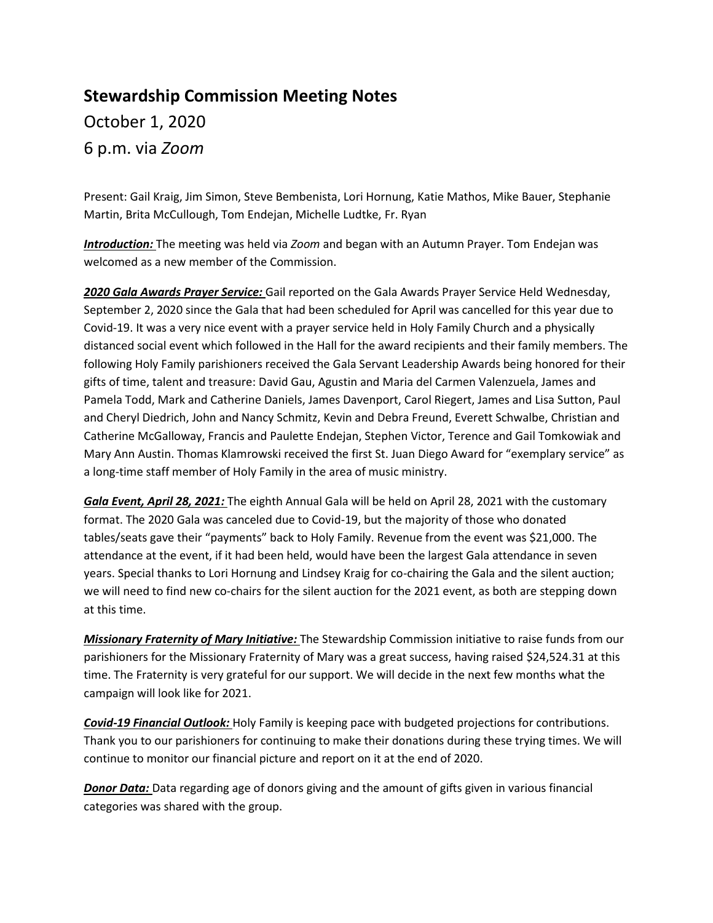## **Stewardship Commission Meeting Notes** October 1, 2020

6 p.m. via *Zoom*

Present: Gail Kraig, Jim Simon, Steve Bembenista, Lori Hornung, Katie Mathos, Mike Bauer, Stephanie Martin, Brita McCullough, Tom Endejan, Michelle Ludtke, Fr. Ryan

*Introduction:* The meeting was held via *Zoom* and began with an Autumn Prayer. Tom Endejan was welcomed as a new member of the Commission.

*2020 Gala Awards Prayer Service:* Gail reported on the Gala Awards Prayer Service Held Wednesday, September 2, 2020 since the Gala that had been scheduled for April was cancelled for this year due to Covid-19. It was a very nice event with a prayer service held in Holy Family Church and a physically distanced social event which followed in the Hall for the award recipients and their family members. The following Holy Family parishioners received the Gala Servant Leadership Awards being honored for their gifts of time, talent and treasure: David Gau, Agustin and Maria del Carmen Valenzuela, James and Pamela Todd, Mark and Catherine Daniels, James Davenport, Carol Riegert, James and Lisa Sutton, Paul and Cheryl Diedrich, John and Nancy Schmitz, Kevin and Debra Freund, Everett Schwalbe, Christian and Catherine McGalloway, Francis and Paulette Endejan, Stephen Victor, Terence and Gail Tomkowiak and Mary Ann Austin. Thomas Klamrowski received the first St. Juan Diego Award for "exemplary service" as a long-time staff member of Holy Family in the area of music ministry.

*Gala Event, April 28, 2021:* The eighth Annual Gala will be held on April 28, 2021 with the customary format. The 2020 Gala was canceled due to Covid-19, but the majority of those who donated tables/seats gave their "payments" back to Holy Family. Revenue from the event was \$21,000. The attendance at the event, if it had been held, would have been the largest Gala attendance in seven years. Special thanks to Lori Hornung and Lindsey Kraig for co-chairing the Gala and the silent auction; we will need to find new co-chairs for the silent auction for the 2021 event, as both are stepping down at this time.

*Missionary Fraternity of Mary Initiative:* The Stewardship Commission initiative to raise funds from our parishioners for the Missionary Fraternity of Mary was a great success, having raised \$24,524.31 at this time. The Fraternity is very grateful for our support. We will decide in the next few months what the campaign will look like for 2021.

*Covid-19 Financial Outlook:* Holy Family is keeping pace with budgeted projections for contributions. Thank you to our parishioners for continuing to make their donations during these trying times. We will continue to monitor our financial picture and report on it at the end of 2020.

*Donor Data:* Data regarding age of donors giving and the amount of gifts given in various financial categories was shared with the group.